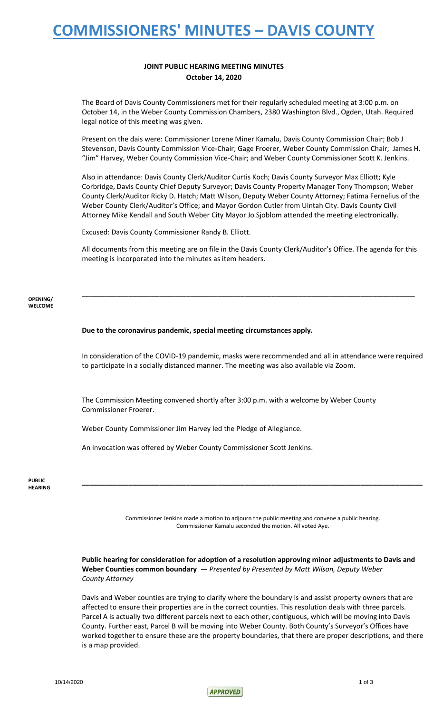## **COMMISSIONERS' MINUTES – DAVIS COUNTY**

### **JOINT PUBLIC HEARING MEETING MINUTES October 14, 2020**

The Board of Davis County Commissioners met for their regularly scheduled meeting at 3:00 p.m. on October 14, in the Weber County Commission Chambers, 2380 Washington Blvd., Ogden, Utah. Required legal notice of this meeting was given.

Present on the dais were: Commissioner Lorene Miner Kamalu, Davis County Commission Chair; Bob J Stevenson, Davis County Commission Vice-Chair; Gage Froerer, Weber County Commission Chair; James H. "Jim" Harvey, Weber County Commission Vice-Chair; and Weber County Commissioner Scott K. Jenkins.

Also in attendance: Davis County Clerk/Auditor Curtis Koch; Davis County Surveyor Max Elliott; Kyle Corbridge, Davis County Chief Deputy Surveyor; Davis County Property Manager Tony Thompson; Weber County Clerk/Auditor Ricky D. Hatch; Matt Wilson, Deputy Weber County Attorney; Fatima Fernelius of the Weber County Clerk/Auditor's Office; and Mayor Gordon Cutler from Uintah City. Davis County Civil Attorney Mike Kendall and South Weber City Mayor Jo Sjoblom attended the meeting electronically.

Excused: Davis County Commissioner Randy B. Elliott.

All documents from this meeting are on file in the Davis County Clerk/Auditor's Office. The agenda for this meeting is incorporated into the minutes as item headers.

**\_\_\_\_\_\_\_\_\_\_\_\_\_\_\_\_\_\_\_\_\_\_\_\_\_\_\_\_\_\_\_\_\_\_\_\_\_\_\_\_\_\_\_\_\_\_\_\_\_\_\_\_\_\_\_\_\_\_\_\_\_\_\_\_\_\_\_\_\_\_\_\_\_\_\_\_\_\_\_\_\_\_\_\_\_\_**

#### **OPENING/ WELCOME**

### **Due to the coronavirus pandemic, special meeting circumstances apply.**

In consideration of the COVID-19 pandemic, masks were recommended and all in attendance were required to participate in a socially distanced manner. The meeting was also available via Zoom.

The Commission Meeting convened shortly after 3:00 p.m. with a welcome by Weber County Commissioner Froerer.

Weber County Commissioner Jim Harvey led the Pledge of Allegiance.

An invocation was offered by Weber County Commissioner Scott Jenkins.

#### **PUBLIC HEARING**

Commissioner Jenkins made a motion to adjourn the public meeting and convene a public hearing. Commissioner Kamalu seconded the motion. All voted Aye.

**\_\_\_\_\_\_\_\_\_\_\_\_\_\_\_\_\_\_\_\_\_\_\_\_\_\_\_\_\_\_\_\_\_\_\_\_\_\_\_\_\_\_\_\_\_\_\_\_\_\_\_\_\_\_\_\_\_\_\_\_\_\_\_\_\_\_\_\_\_\_\_\_\_\_\_\_\_\_\_\_\_\_\_\_\_\_\_\_**

**Public hearing for consideration for adoption of a resolution approving minor adjustments to Davis and Weber Counties common boundary** — *Presented by Presented by Matt Wilson, Deputy Weber County Attorney* 

Davis and Weber counties are trying to clarify where the boundary is and assist property owners that are affected to ensure their properties are in the correct counties. This resolution deals with three parcels. Parcel A is actually two different parcels next to each other, contiguous, which will be moving into Davis County. Further east, Parcel B will be moving into Weber County. Both County's Surveyor's Offices have worked together to ensure these are the property boundaries, that there are proper descriptions, and there is a map provided.

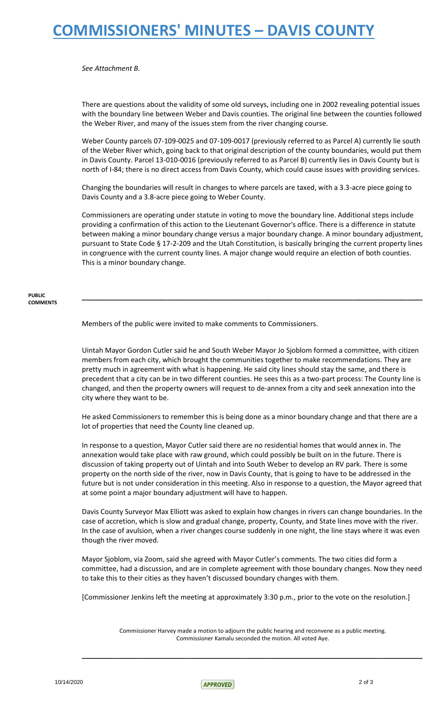## **COMMISSIONERS' MINUTES – DAVIS COUNTY**

*See Attachment B.*

There are questions about the validity of some old surveys, including one in 2002 revealing potential issues with the boundary line between Weber and Davis counties. The original line between the counties followed the Weber River, and many of the issues stem from the river changing course.

Weber County parcels 07-109-0025 and 07-109-0017 (previously referred to as Parcel A) currently lie south of the Weber River which, going back to that original description of the county boundaries, would put them in Davis County. Parcel 13-010-0016 (previously referred to as Parcel B) currently lies in Davis County but is north of I-84; there is no direct access from Davis County, which could cause issues with providing services.

Changing the boundaries will result in changes to where parcels are taxed, with a 3.3-acre piece going to Davis County and a 3.8-acre piece going to Weber County.

Commissioners are operating under statute in voting to move the boundary line. Additional steps include providing a confirmation of this action to the Lieutenant Governor's office. There is a difference in statute between making a minor boundary change versus a major boundary change. A minor boundary adjustment, pursuant to State Code § 17-2-209 and the Utah Constitution, is basically bringing the current property lines in congruence with the current county lines. A major change would require an election of both counties. This is a minor boundary change.

**\_\_\_\_\_\_\_\_\_\_\_\_\_\_\_\_\_\_\_\_\_\_\_\_\_\_\_\_\_\_\_\_\_\_\_\_\_\_\_\_\_\_\_\_\_\_\_\_\_\_\_\_\_\_\_\_\_\_\_\_\_\_\_\_\_\_\_\_\_\_\_\_\_\_\_\_\_\_\_\_\_\_\_\_\_\_\_\_**

#### **PUBLIC COMMENTS**

Members of the public were invited to make comments to Commissioners.

Uintah Mayor Gordon Cutler said he and South Weber Mayor Jo Sjoblom formed a committee, with citizen members from each city, which brought the communities together to make recommendations. They are pretty much in agreement with what is happening. He said city lines should stay the same, and there is precedent that a city can be in two different counties. He sees this as a two-part process: The County line is changed, and then the property owners will request to de-annex from a city and seek annexation into the city where they want to be.

He asked Commissioners to remember this is being done as a minor boundary change and that there are a lot of properties that need the County line cleaned up.

In response to a question, Mayor Cutler said there are no residential homes that would annex in. The annexation would take place with raw ground, which could possibly be built on in the future. There is discussion of taking property out of Uintah and into South Weber to develop an RV park. There is some property on the north side of the river, now in Davis County, that is going to have to be addressed in the future but is not under consideration in this meeting. Also in response to a question, the Mayor agreed that at some point a major boundary adjustment will have to happen.

Davis County Surveyor Max Elliott was asked to explain how changes in rivers can change boundaries. In the case of accretion, which is slow and gradual change, property, County, and State lines move with the river. In the case of avulsion, when a river changes course suddenly in one night, the line stays where it was even though the river moved.

Mayor Sjoblom, via Zoom, said she agreed with Mayor Cutler's comments. The two cities did form a committee, had a discussion, and are in complete agreement with those boundary changes. Now they need to take this to their cities as they haven't discussed boundary changes with them.

[Commissioner Jenkins left the meeting at approximately 3:30 p.m., prior to the vote on the resolution.]

Commissioner Harvey made a motion to adjourn the public hearing and reconvene as a public meeting. Commissioner Kamalu seconded the motion. All voted Aye.

**\_\_\_\_\_\_\_\_\_\_\_\_\_\_\_\_\_\_\_\_\_\_\_\_\_\_\_\_\_\_\_\_\_\_\_\_\_\_\_\_\_\_\_\_\_\_\_\_\_\_\_\_\_\_\_\_\_\_\_\_\_\_\_\_\_\_\_\_\_\_\_\_\_\_\_\_\_\_\_\_\_\_\_\_\_\_\_\_**